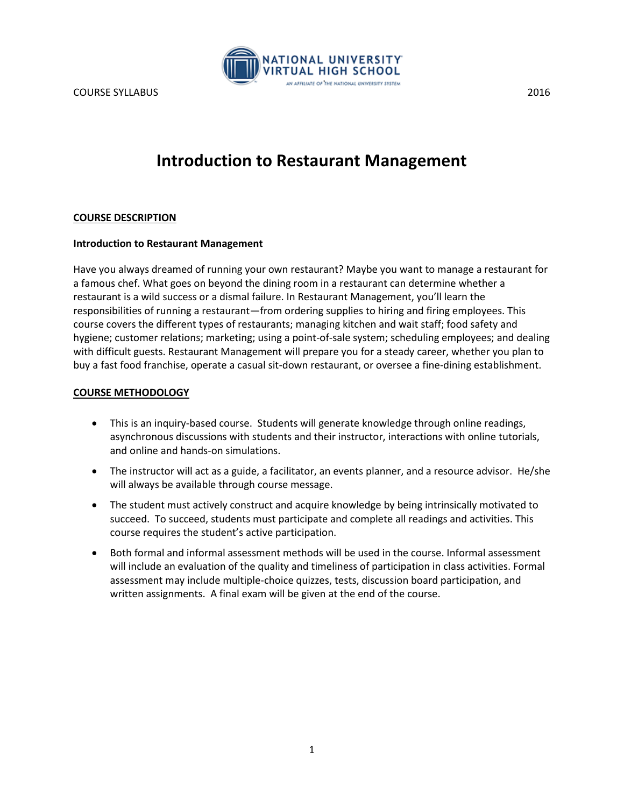

# **Introduction to Restaurant Management**

## **COURSE DESCRIPTION**

## **Introduction to Restaurant Management**

Have you always dreamed of running your own restaurant? Maybe you want to manage a restaurant for a famous chef. What goes on beyond the dining room in a restaurant can determine whether a restaurant is a wild success or a dismal failure. In Restaurant Management, you'll learn the responsibilities of running a restaurant—from ordering supplies to hiring and firing employees. This course covers the different types of restaurants; managing kitchen and wait staff; food safety and hygiene; customer relations; marketing; using a point-of-sale system; scheduling employees; and dealing with difficult guests. Restaurant Management will prepare you for a steady career, whether you plan to buy a fast food franchise, operate a casual sit-down restaurant, or oversee a fine-dining establishment.

## **COURSE METHODOLOGY**

- This is an inquiry-based course. Students will generate knowledge through online readings, asynchronous discussions with students and their instructor, interactions with online tutorials, and online and hands-on simulations.
- The instructor will act as a guide, a facilitator, an events planner, and a resource advisor. He/she will always be available through course message.
- The student must actively construct and acquire knowledge by being intrinsically motivated to succeed. To succeed, students must participate and complete all readings and activities. This course requires the student's active participation.
- Both formal and informal assessment methods will be used in the course. Informal assessment will include an evaluation of the quality and timeliness of participation in class activities. Formal assessment may include multiple-choice quizzes, tests, discussion board participation, and written assignments. A final exam will be given at the end of the course.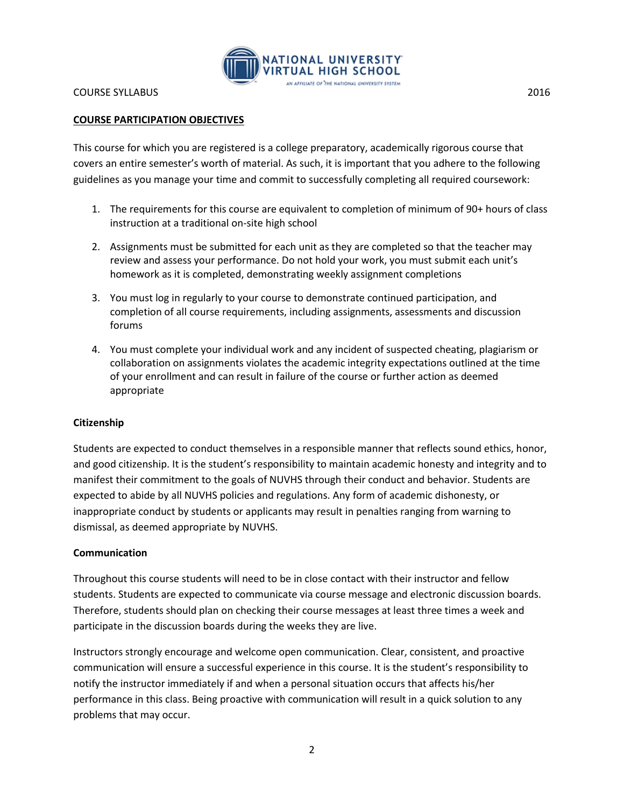

# **COURSE PARTICIPATION OBJECTIVES**

This course for which you are registered is a college preparatory, academically rigorous course that covers an entire semester's worth of material. As such, it is important that you adhere to the following guidelines as you manage your time and commit to successfully completing all required coursework:

- 1. The requirements for this course are equivalent to completion of minimum of 90+ hours of class instruction at a traditional on-site high school
- 2. Assignments must be submitted for each unit as they are completed so that the teacher may review and assess your performance. Do not hold your work, you must submit each unit's homework as it is completed, demonstrating weekly assignment completions
- 3. You must log in regularly to your course to demonstrate continued participation, and completion of all course requirements, including assignments, assessments and discussion forums
- 4. You must complete your individual work and any incident of suspected cheating, plagiarism or collaboration on assignments violates the academic integrity expectations outlined at the time of your enrollment and can result in failure of the course or further action as deemed appropriate

## **Citizenship**

Students are expected to conduct themselves in a responsible manner that reflects sound ethics, honor, and good citizenship. It is the student's responsibility to maintain academic honesty and integrity and to manifest their commitment to the goals of NUVHS through their conduct and behavior. Students are expected to abide by all NUVHS policies and regulations. Any form of academic dishonesty, or inappropriate conduct by students or applicants may result in penalties ranging from warning to dismissal, as deemed appropriate by NUVHS.

#### **Communication**

Throughout this course students will need to be in close contact with their instructor and fellow students. Students are expected to communicate via course message and electronic discussion boards. Therefore, students should plan on checking their course messages at least three times a week and participate in the discussion boards during the weeks they are live.

Instructors strongly encourage and welcome open communication. Clear, consistent, and proactive communication will ensure a successful experience in this course. It is the student's responsibility to notify the instructor immediately if and when a personal situation occurs that affects his/her performance in this class. Being proactive with communication will result in a quick solution to any problems that may occur.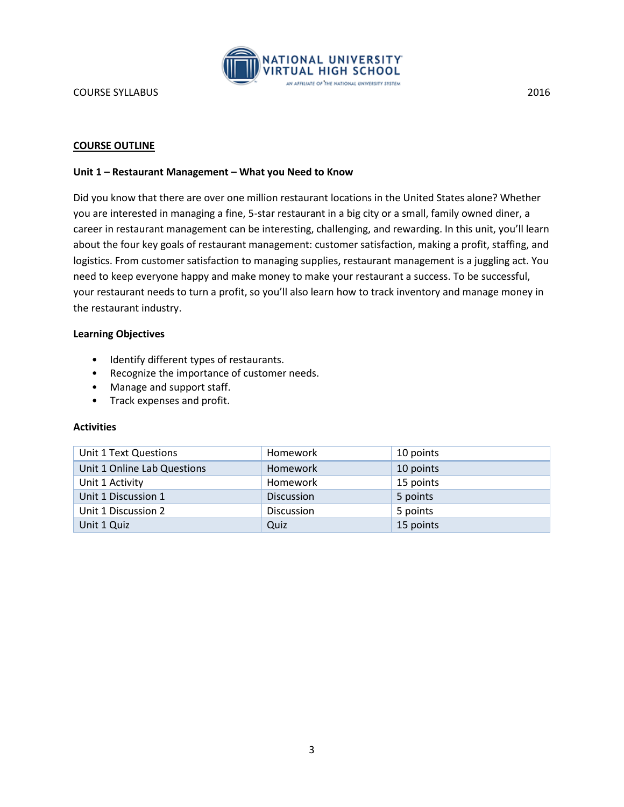

## **Unit 1 – Restaurant Management – What you Need to Know**

Did you know that there are over one million restaurant locations in the United States alone? Whether you are interested in managing a fine, 5-star restaurant in a big city or a small, family owned diner, a career in restaurant management can be interesting, challenging, and rewarding. In this unit, you'll learn about the four key goals of restaurant management: customer satisfaction, making a profit, staffing, and logistics. From customer satisfaction to managing supplies, restaurant management is a juggling act. You need to keep everyone happy and make money to make your restaurant a success. To be successful, your restaurant needs to turn a profit, so you'll also learn how to track inventory and manage money in the restaurant industry.

## **Learning Objectives**

- Identify different types of restaurants.
- Recognize the importance of customer needs.
- Manage and support staff.
- Track expenses and profit.

| Unit 1 Text Questions       | Homework          | 10 points |
|-----------------------------|-------------------|-----------|
| Unit 1 Online Lab Questions | <b>Homework</b>   | 10 points |
| Unit 1 Activity             | Homework          | 15 points |
| Unit 1 Discussion 1         | <b>Discussion</b> | 5 points  |
| Unit 1 Discussion 2         | <b>Discussion</b> | 5 points  |
| Unit 1 Quiz                 | Quiz              | 15 points |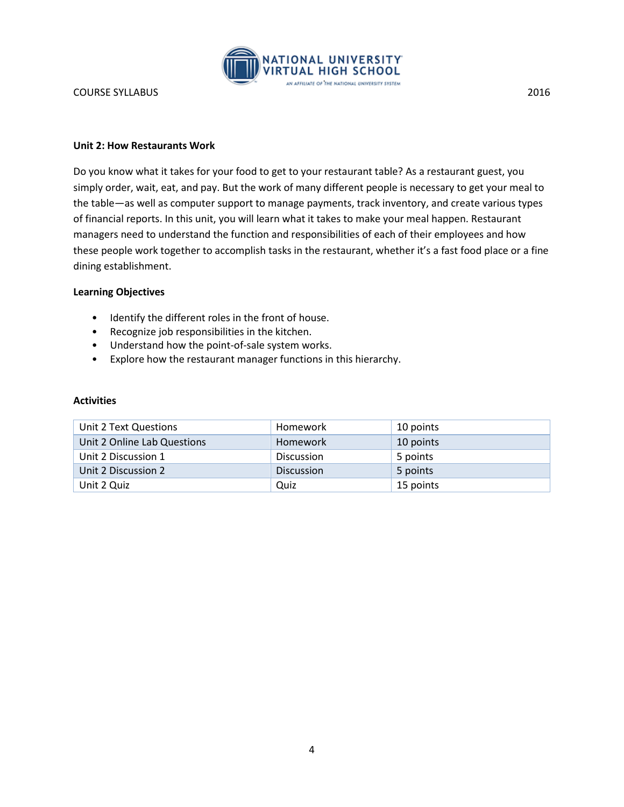

## **Unit 2: How Restaurants Work**

Do you know what it takes for your food to get to your restaurant table? As a restaurant guest, you simply order, wait, eat, and pay. But the work of many different people is necessary to get your meal to the table—as well as computer support to manage payments, track inventory, and create various types of financial reports. In this unit, you will learn what it takes to make your meal happen. Restaurant managers need to understand the function and responsibilities of each of their employees and how these people work together to accomplish tasks in the restaurant, whether it's a fast food place or a fine dining establishment.

# **Learning Objectives**

- Identify the different roles in the front of house.
- Recognize job responsibilities in the kitchen.
- Understand how the point-of-sale system works.
- Explore how the restaurant manager functions in this hierarchy.

| Unit 2 Text Questions       | Homework          | 10 points |
|-----------------------------|-------------------|-----------|
| Unit 2 Online Lab Questions | Homework          | 10 points |
| Unit 2 Discussion 1         | <b>Discussion</b> | 5 points  |
| Unit 2 Discussion 2         | <b>Discussion</b> | 5 points  |
| Unit 2 Quiz                 | Quiz              | 15 points |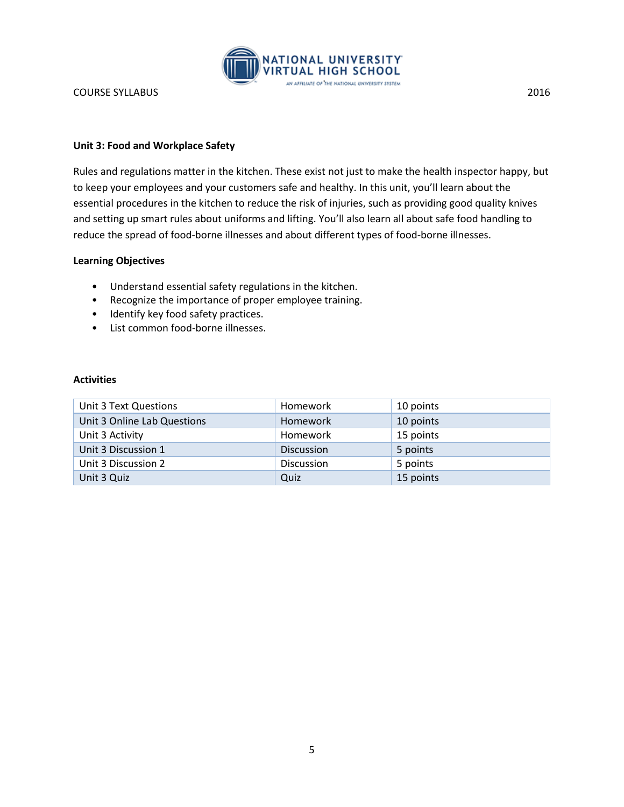

## **Unit 3: Food and Workplace Safety**

Rules and regulations matter in the kitchen. These exist not just to make the health inspector happy, but to keep your employees and your customers safe and healthy. In this unit, you'll learn about the essential procedures in the kitchen to reduce the risk of injuries, such as providing good quality knives and setting up smart rules about uniforms and lifting. You'll also learn all about safe food handling to reduce the spread of food-borne illnesses and about different types of food-borne illnesses.

## **Learning Objectives**

- Understand essential safety regulations in the kitchen.
- Recognize the importance of proper employee training.
- Identify key food safety practices.
- List common food-borne illnesses.

| Unit 3 Text Questions       | Homework          | 10 points |
|-----------------------------|-------------------|-----------|
| Unit 3 Online Lab Questions | <b>Homework</b>   | 10 points |
| Unit 3 Activity             | Homework          | 15 points |
| Unit 3 Discussion 1         | <b>Discussion</b> | 5 points  |
| Unit 3 Discussion 2         | <b>Discussion</b> | 5 points  |
| Unit 3 Quiz                 | Quiz              | 15 points |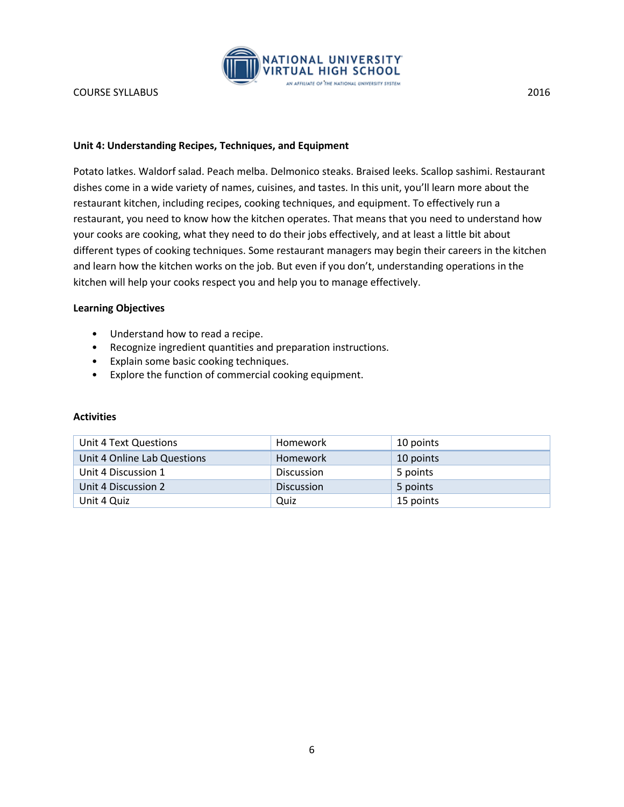

## **Unit 4: Understanding Recipes, Techniques, and Equipment**

Potato latkes. Waldorf salad. Peach melba. Delmonico steaks. Braised leeks. Scallop sashimi. Restaurant dishes come in a wide variety of names, cuisines, and tastes. In this unit, you'll learn more about the restaurant kitchen, including recipes, cooking techniques, and equipment. To effectively run a restaurant, you need to know how the kitchen operates. That means that you need to understand how your cooks are cooking, what they need to do their jobs effectively, and at least a little bit about different types of cooking techniques. Some restaurant managers may begin their careers in the kitchen and learn how the kitchen works on the job. But even if you don't, understanding operations in the kitchen will help your cooks respect you and help you to manage effectively.

## **Learning Objectives**

- Understand how to read a recipe.
- Recognize ingredient quantities and preparation instructions.
- Explain some basic cooking techniques.
- Explore the function of commercial cooking equipment.

| Unit 4 Text Questions       | Homework          | 10 points |
|-----------------------------|-------------------|-----------|
| Unit 4 Online Lab Questions | <b>Homework</b>   | 10 points |
| Unit 4 Discussion 1         | <b>Discussion</b> | 5 points  |
| Unit 4 Discussion 2         | <b>Discussion</b> | 5 points  |
| Unit 4 Quiz                 | Quiz              | 15 points |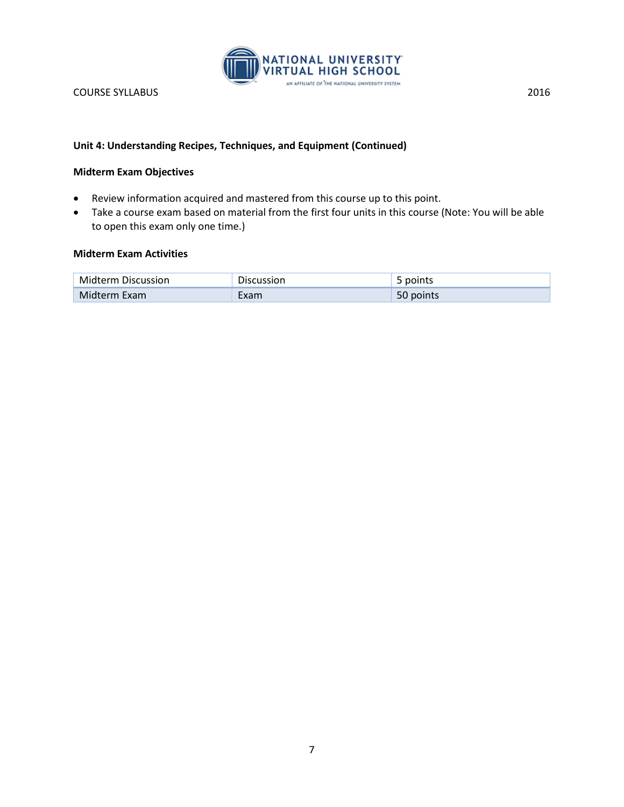

# **Unit 4: Understanding Recipes, Techniques, and Equipment (Continued)**

## **Midterm Exam Objectives**

- Review information acquired and mastered from this course up to this point.
- Take a course exam based on material from the first four units in this course (Note: You will be able to open this exam only one time.)

# **Midterm Exam Activities**

| <b>Midterm Discussion</b> | <b>Discussion</b> | points    |
|---------------------------|-------------------|-----------|
| Midterm Exam              | Exam              | 50 points |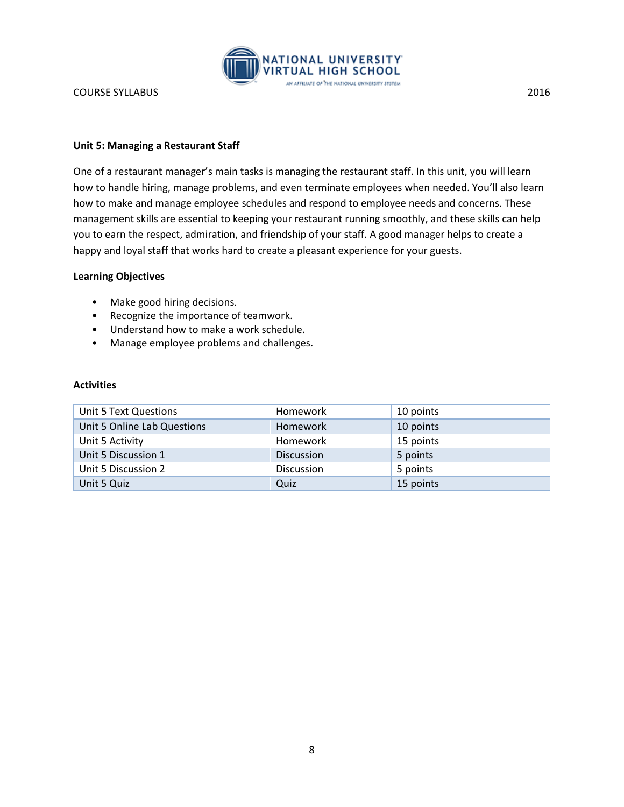

## **Unit 5: Managing a Restaurant Staff**

One of a restaurant manager's main tasks is managing the restaurant staff. In this unit, you will learn how to handle hiring, manage problems, and even terminate employees when needed. You'll also learn how to make and manage employee schedules and respond to employee needs and concerns. These management skills are essential to keeping your restaurant running smoothly, and these skills can help you to earn the respect, admiration, and friendship of your staff. A good manager helps to create a happy and loyal staff that works hard to create a pleasant experience for your guests.

#### **Learning Objectives**

- Make good hiring decisions.
- Recognize the importance of teamwork.
- Understand how to make a work schedule.
- Manage employee problems and challenges.

| Unit 5 Text Questions       | Homework          | 10 points |
|-----------------------------|-------------------|-----------|
| Unit 5 Online Lab Questions | <b>Homework</b>   | 10 points |
| Unit 5 Activity             | Homework          | 15 points |
| Unit 5 Discussion 1         | <b>Discussion</b> | 5 points  |
| Unit 5 Discussion 2         | <b>Discussion</b> | 5 points  |
| Unit 5 Quiz                 | Quiz              | 15 points |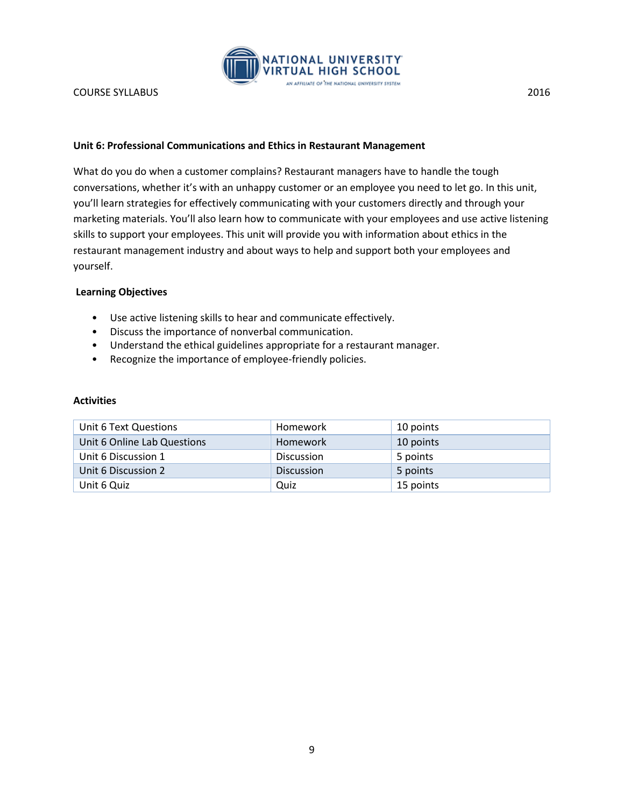

# **Unit 6: Professional Communications and Ethics in Restaurant Management**

What do you do when a customer complains? Restaurant managers have to handle the tough conversations, whether it's with an unhappy customer or an employee you need to let go. In this unit, you'll learn strategies for effectively communicating with your customers directly and through your marketing materials. You'll also learn how to communicate with your employees and use active listening skills to support your employees. This unit will provide you with information about ethics in the restaurant management industry and about ways to help and support both your employees and yourself.

## **Learning Objectives**

- Use active listening skills to hear and communicate effectively.
- Discuss the importance of nonverbal communication.
- Understand the ethical guidelines appropriate for a restaurant manager.
- Recognize the importance of employee-friendly policies.

| Unit 6 Text Questions       | Homework          | 10 points |
|-----------------------------|-------------------|-----------|
| Unit 6 Online Lab Questions | Homework          | 10 points |
| Unit 6 Discussion 1         | <b>Discussion</b> | 5 points  |
| Unit 6 Discussion 2         | <b>Discussion</b> | 5 points  |
| Unit 6 Quiz                 | Quiz              | 15 points |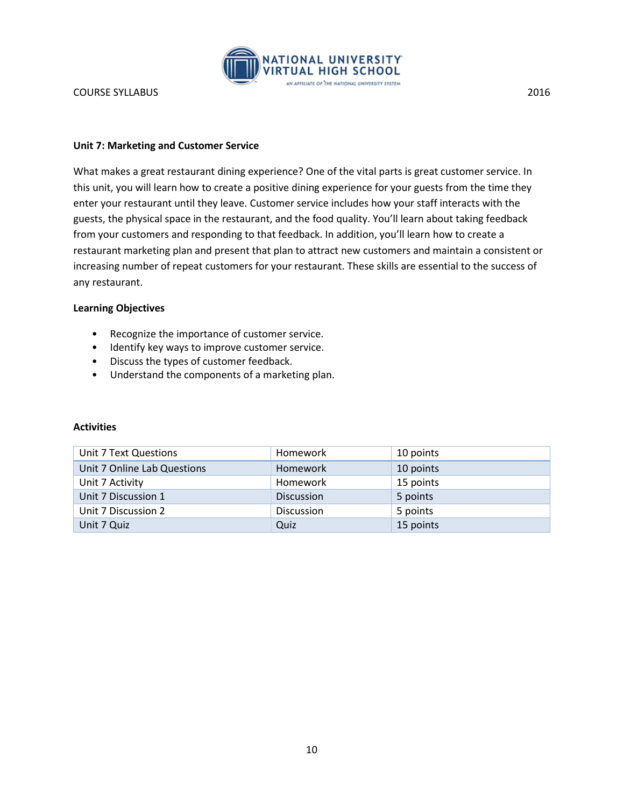

## **Unit 7: Marketing and Customer Service**

What makes a great restaurant dining experience? One of the vital parts is great customer service. In this unit, you will learn how to create a positive dining experience for your guests from the time they enter your restaurant until they leave. Customer service includes how your staff interacts with the guests, the physical space in the restaurant, and the food quality. You'll learn about taking feedback from your customers and responding to that feedback. In addition, you'll learn how to create a restaurant marketing plan and present that plan to attract new customers and maintain a consistent or increasing number of repeat customers for your restaurant. These skills are essential to the success of any restaurant.

## **Learning Objectives**

- Recognize the importance of customer service.
- Identify key ways to improve customer service.
- Discuss the types of customer feedback.
- Understand the components of a marketing plan.

| Unit 7 Text Questions       | <b>Homework</b>   | 10 points |
|-----------------------------|-------------------|-----------|
| Unit 7 Online Lab Questions | <b>Homework</b>   | 10 points |
| Unit 7 Activity             | Homework          | 15 points |
| Unit 7 Discussion 1         | <b>Discussion</b> | 5 points  |
| Unit 7 Discussion 2         | <b>Discussion</b> | 5 points  |
| Unit 7 Quiz                 | Quiz              | 15 points |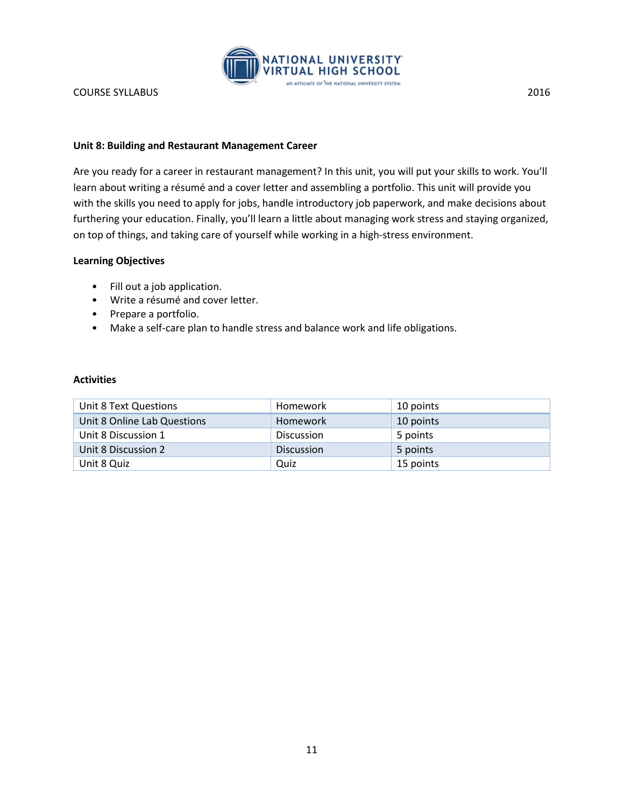

## **Unit 8: Building and Restaurant Management Career**

Are you ready for a career in restaurant management? In this unit, you will put your skills to work. You'll learn about writing a résumé and a cover letter and assembling a portfolio. This unit will provide you with the skills you need to apply for jobs, handle introductory job paperwork, and make decisions about furthering your education. Finally, you'll learn a little about managing work stress and staying organized, on top of things, and taking care of yourself while working in a high-stress environment.

## **Learning Objectives**

- Fill out a job application.
- Write a résumé and cover letter.
- Prepare a portfolio.
- Make a self-care plan to handle stress and balance work and life obligations.

| Unit 8 Text Questions       | Homework          | 10 points |
|-----------------------------|-------------------|-----------|
| Unit 8 Online Lab Questions | Homework          | 10 points |
| Unit 8 Discussion 1         | <b>Discussion</b> | 5 points  |
| Unit 8 Discussion 2         | <b>Discussion</b> | 5 points  |
| Unit 8 Quiz                 | Quiz              | 15 points |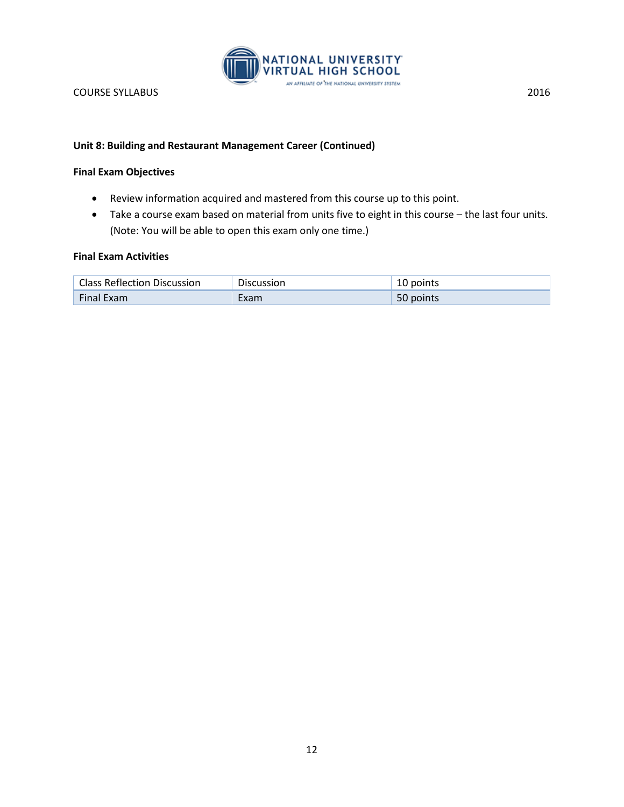

## **Unit 8: Building and Restaurant Management Career (Continued)**

## **Final Exam Objectives**

- Review information acquired and mastered from this course up to this point.
- Take a course exam based on material from units five to eight in this course the last four units. (Note: You will be able to open this exam only one time.)

## **Final Exam Activities**

| <b>Class Reflection Discussion</b> | Discussion | 10 points |
|------------------------------------|------------|-----------|
| <b>Final Exam</b>                  | :xam       | 50 points |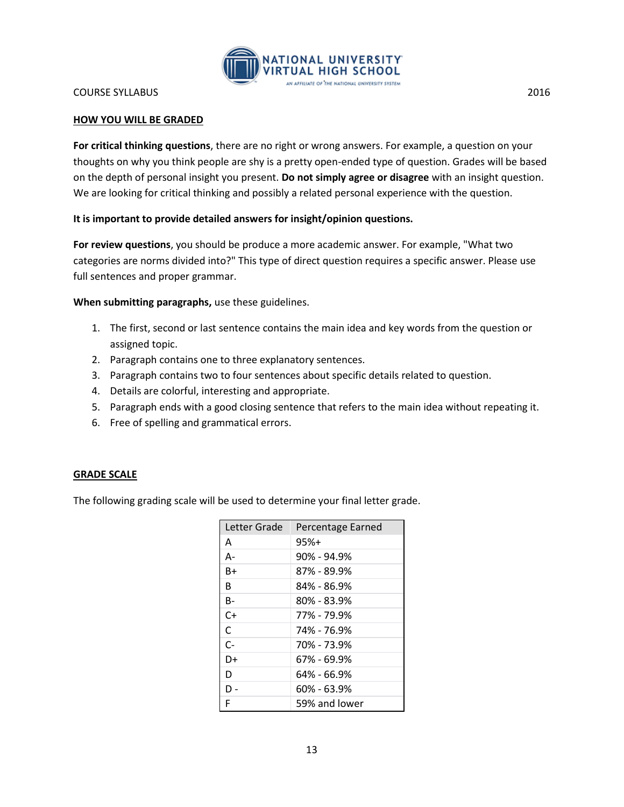

## **HOW YOU WILL BE GRADED**

**For critical thinking questions**, there are no right or wrong answers. For example, a question on your thoughts on why you think people are shy is a pretty open-ended type of question. Grades will be based on the depth of personal insight you present. **Do not simply agree or disagree** with an insight question. We are looking for critical thinking and possibly a related personal experience with the question.

## **It is important to provide detailed answers for insight/opinion questions.**

**For review questions**, you should be produce a more academic answer. For example, "What two categories are norms divided into?" This type of direct question requires a specific answer. Please use full sentences and proper grammar.

**When submitting paragraphs,** use these guidelines.

- 1. The first, second or last sentence contains the main idea and key words from the question or assigned topic.
- 2. Paragraph contains one to three explanatory sentences.
- 3. Paragraph contains two to four sentences about specific details related to question.
- 4. Details are colorful, interesting and appropriate.
- 5. Paragraph ends with a good closing sentence that refers to the main idea without repeating it.
- 6. Free of spelling and grammatical errors.

#### **GRADE SCALE**

The following grading scale will be used to determine your final letter grade.

| Letter Grade | Percentage Earned |
|--------------|-------------------|
| A            | $95%+$            |
| А-           | $90\%$ - 94.9%    |
| R+           | 87% - 89.9%       |
| R            | 84% - 86.9%       |
| B-           | 80% - 83.9%       |
| C+           | 77% - 79.9%       |
| C            | 74% - 76.9%       |
| $C-$         | 70% - 73.9%       |
| D+           | 67% - 69.9%       |
| D            | 64% - 66.9%       |
| D -          | 60% - 63.9%       |
| F            | 59% and lower     |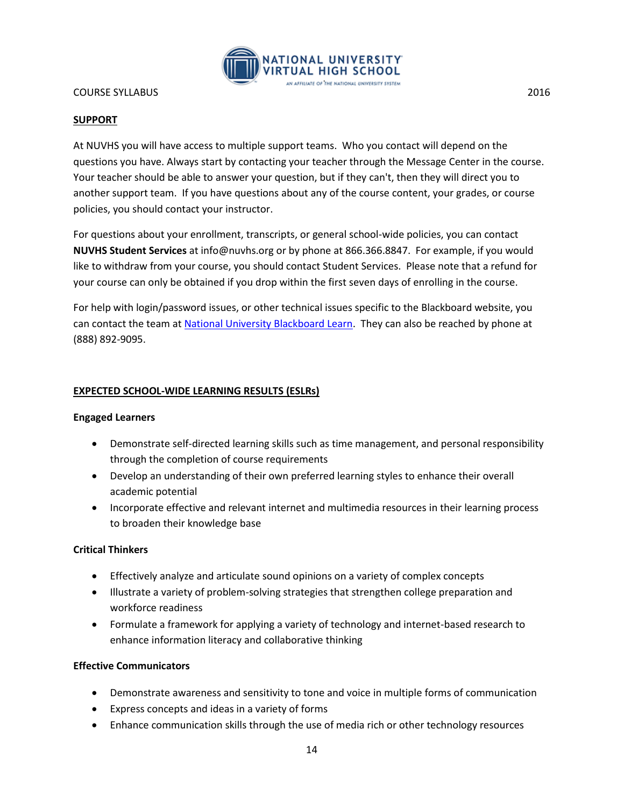

# **SUPPORT**

At NUVHS you will have access to multiple support teams. Who you contact will depend on the questions you have. Always start by contacting your teacher through the Message Center in the course. Your teacher should be able to answer your question, but if they can't, then they will direct you to another support team. If you have questions about any of the course content, your grades, or course policies, you should contact your instructor.

For questions about your enrollment, transcripts, or general school-wide policies, you can contact **NUVHS Student Services** at info@nuvhs.org or by phone at 866.366.8847. For example, if you would like to withdraw from your course, you should contact Student Services. Please note that a refund for your course can only be obtained if you drop within the first seven days of enrolling in the course.

For help with login/password issues, or other technical issues specific to the Blackboard website, you can contact the team at [National University Blackboard Learn.](http://nu.edusupportcenter.com/sims/helpcenter/common/layout/SelfHelpHome.seam?inst_name=nationalu) They can also be reached by phone at (888) 892-9095.

# **EXPECTED SCHOOL-WIDE LEARNING RESULTS (ESLRs)**

## **Engaged Learners**

- Demonstrate self-directed learning skills such as time management, and personal responsibility through the completion of course requirements
- Develop an understanding of their own preferred learning styles to enhance their overall academic potential
- Incorporate effective and relevant internet and multimedia resources in their learning process to broaden their knowledge base

## **Critical Thinkers**

- Effectively analyze and articulate sound opinions on a variety of complex concepts
- Illustrate a variety of problem-solving strategies that strengthen college preparation and workforce readiness
- Formulate a framework for applying a variety of technology and internet-based research to enhance information literacy and collaborative thinking

## **Effective Communicators**

- Demonstrate awareness and sensitivity to tone and voice in multiple forms of communication
- Express concepts and ideas in a variety of forms
- Enhance communication skills through the use of media rich or other technology resources